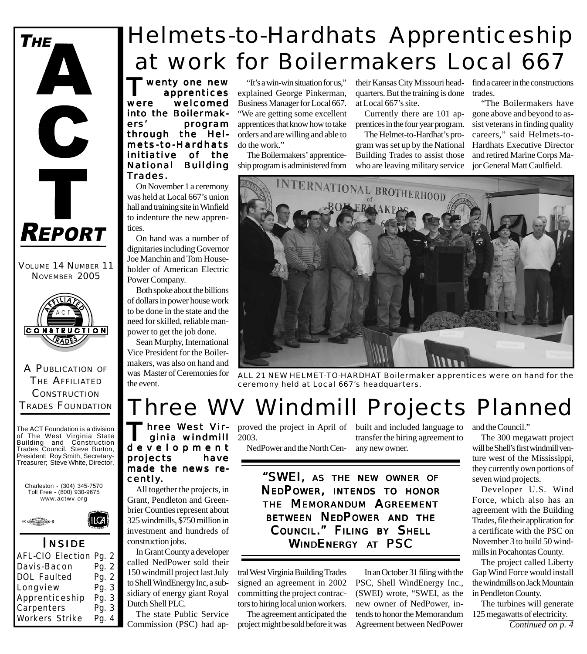

VOLUME 14 NUMBER 11 NOVEMBER 2005



A PUBLICATION OF THE AFFILIATED **CONSTRUCTION** TRADES FOUNDATION

The ACT Foundation is a division of The West Virginia State Building and Construction Trades Council. Steve Burton, President; Roy Smith, Secretary-Treasurer; Steve White, Director.





### *I NSIDE*

| AFL-CIO Election Pg. 2 |       |
|------------------------|-------|
| Davis-Bacon            | Pg. 2 |
| DOL Faulted            | Pg. 2 |
| Longview               | Pg. 3 |
| Apprenticeship         | Pg. 3 |
| Carpenters             | Pg. 3 |
| Workers Strike         | Pg. 4 |
|                        |       |

# Helmets-to-Hardhats Apprenticeship at work for Boilermakers Local 667

**T** wenty one new<br>upprentices<br>were welcomed apprentices welcomed into the Boilermakers' program through the Helmets-to-Hardhats initiative of the National Building Trades.

On November 1 a ceremony was held at Local 667's union hall and training site in Winfield to indenture the new apprentices.

On hand was a number of dignitaries including Governor Joe Manchin and Tom Householder of American Electric Power Company.

Both spoke about the billions of dollars in power house work to be done in the state and the need for skilled, reliable manpower to get the job done.

Sean Murphy, International Vice President for the Boilermakers, was also on hand and was Master of Ceremonies for the event.

"It's a win-win situation for us," explained George Pinkerman, Business Manager for Local 667. "We are getting some excellent apprentices that know how to take orders and are willing and able to do the work."

The Boilermakers' apprenticeship program is administered from

their Kansas City Missouri head-find a career in the constructions quarters. But the training is done trades. at Local 667's site.

Currently there are 101 apprentices in the four year program.

The Helmet-to-Hardhat's program was set up by the National Building Trades to assist those who are leaving military service

"The Boilermakers have gone above and beyond to assist veterans in finding quality careers," said Helmets-to-Hardhats Executive Director and retired Marine Corps Major General Matt Caulfield.



*ALL 21 NEW HELMET-TO-HARDHAT Boilermaker apprentices were on hand for the ceremony held at Local 667's headquarters.*

## Three WV Windmill Projects Planned

hree West Virginia windmill development projects have made the news recently.

All together the projects, in Grant, Pendleton and Greenbrier Counties represent about 325 windmills, \$750 million in investment and hundreds of construction jobs.

In Grant County a developer called NedPower sold their 150 windmill project last July to Shell WindEnergy Inc, a subsidiary of energy giant Royal Dutch Shell PLC.

The state Public Service Commission (PSC) had ap-

proved the project in April of built and included language to 2003.

NedPower and the North Cen- any new owner.

transfer the hiring agreement to

*"SWEI, AS THE NEW OWNER OF NEDPOWER, INTENDS TO HONOR THE MEMORANDUM AGREEMENT BETWEEN NEDPOWER AND THE COUNCIL." FILING BY SHELL*

*WINDENERGY AT PSC*

tral West Virginia Building Trades signed an agreement in 2002 committing the project contractors to hiring local union workers.

The agreement anticipated the project might be sold before it was

In an October 31 filing with the PSC, Shell WindEnergy Inc., (SWEI) wrote, "SWEI, as the new owner of NedPower, intends to honor the Memorandum Agreement between NedPower

and the Council."

The 300 megawatt project will be Shell's first windmill venture west of the Mississippi, they currently own portions of seven wind projects.

Developer U.S. Wind Force, which also has an agreement with the Building Trades, file their application for a certificate with the PSC on November 3 to build 50 windmills in Pocahontas County.

The project called Liberty Gap Wind Force would install the windmills on Jack Mountain in Pendleton County.

The turbines will generate 125 megawatts of electricity.

*Continued on p. 4*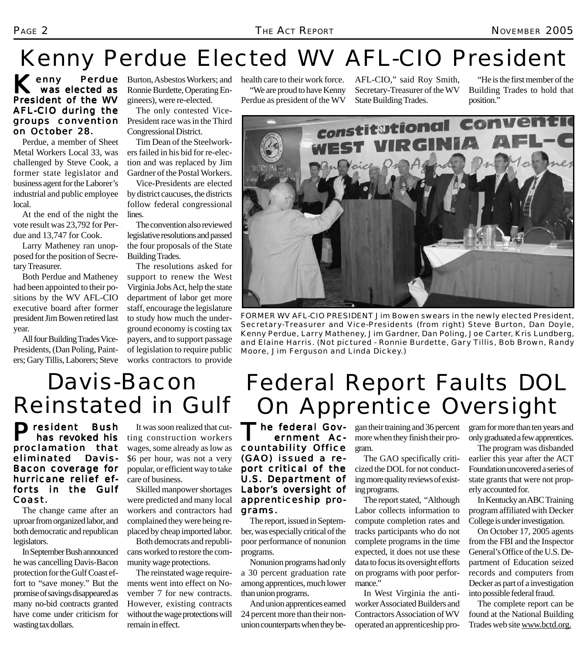# Kenny Perdue Elected WV AFL-CIO President

#### $K$ <sub>enny</sub> was elected as President of the WV AFL-CIO during the groups convention on October 28.

Perdue, a member of Sheet Metal Workers Local 33, was challenged by Steve Cook, a former state legislator and business agent for the Laborer's industrial and public employee local.

At the end of the night the vote result was 23,792 for Perdue and 13,747 for Cook.

Larry Matheney ran unopposed for the position of Secretary Treasurer.

Both Perdue and Matheney had been appointed to their positions by the WV AFL-CIO executive board after former president Jim Bowen retired last year.

All four Building Trades Vice-Presidents, (Dan Poling, Painters; Gary Tillis, Laborers; Steve

**Perdue** Burton, Asbestos Workers; and Ronnie Burdette, Operating Engineers), were re-elected.

> The only contested Vice-President race was in the Third Congressional District.

> Tim Dean of the Steelworkers failed in his bid for re-election and was replaced by Jim Gardner of the Postal Workers.

Vice-Presidents are elected by district caucuses, the districts follow federal congressional lines.

The convention also reviewed legislative resolutions and passed the four proposals of the State Building Trades.

The resolutions asked for support to renew the West Virginia Jobs Act, help the state department of labor get more staff, encourage the legislature to study how much the underground economy is costing tax payers, and to support passage of legislation to require public works contractors to provide

health care to their work force. "We are proud to have Kenny Perdue as president of the WV

AFL-CIO," said Roy Smith, Secretary-Treasurer of the WV State Building Trades.

"He is the first member of the Building Trades to hold that position."



*FORMER WV AFL-CIO PRESIDENT Jim Bowen swears in the newly elected President, Secretary-Treasurer and Vice-Presidents (from right) Steve Burton, Dan Doyle, Kenny Perdue, Larry Matheney, Jim Gardner, Dan Poling, Joe Carter, Kris Lundberg, and Elaine Harris. (Not pictured - Ronnie Burdette, Gary Tillis, Bob Brown, Randy Moore, Jim Ferguson and Linda Dickey.)*

### Davis-Bacon Reinstated in Gulf

President Bush has revoked his proclamation that eliminated Davis-Bacon coverage for hurricane relief efforts in the Gulf Coast.

The change came after an uproar from organized labor, and both democratic and republican legislators.

In September Bush announced he was cancelling Davis-Bacon protection for the Gulf Coast effort to "save money." But the promise of savings disappeared as many no-bid contracts granted have come under criticism for wasting tax dollars.

It was soon realized that cutting construction workers wages, some already as low as \$6 per hour, was not a very popular, or efficient way to take care of business.

Skilled manpower shortages were predicted and many local workers and contractors had complained they were being replaced by cheap imported labor.

Both democrats and republicans worked to restore the community wage protections.

The reinstated wage requirements went into effect on November 7 for new contracts. However, existing contracts without the wage protections will remain in effect.

## Federal Report Faults DOL On Apprentice Oversight

The federal Gov ernment Accountability Office  $(GAO)$  issued a report critical of the U.S. Department of Labor's oversight of apprenticeship programs.

The report, issued in September, was especially critical of the poor performance of nonunion programs.

Nonunion programs had only a 30 percent graduation rate among apprentices, much lower than union programs.

And union apprentices earned 24 percent more than their nonunion counterparts when they began their training and 36 percent more when they finish their program.

The GAO specifically criticized the DOL for not conducting more quality reviews of existing programs.

The report stated, "Although Labor collects information to compute completion rates and tracks participants who do not complete programs in the time expected, it does not use these data to focus its oversight efforts on programs with poor performance."

In West Virginia the antiworker Associated Builders and Contractors Association of WV operated an apprenticeship program for more than ten years and only graduated a few apprentices.

The program was disbanded earlier this year after the ACT Foundation uncovered a series of state grants that were not properly accounted for.

In Kentucky an ABC Training program affiliated with Decker College is under investigation.

On October 17, 2005 agents from the FBI and the Inspector General's Office of the U.S. Department of Education seized records and computers from Decker as part of a investigation into possible federal fraud.

The complete report can be found at the National Building Trades web site www.bctd.org.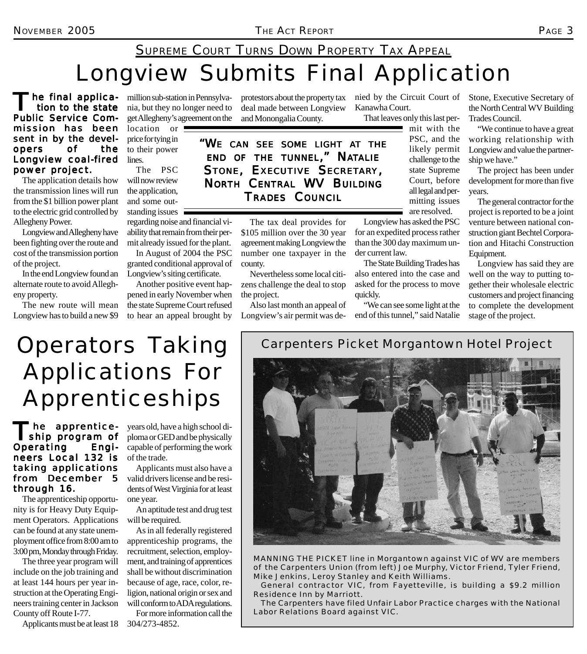### Longview Submits Final Application SUPREME COURT TURNS DOWN PROPERTY TAX APPEAL

'he final applica tion to the state Public Service Commission has been sent in by the developers of the Longview coal-fired power project.

The application details how the transmission lines will run from the \$1 billion power plant to the electric grid controlled by Allegheny Power.

Longview and Allegheny have been fighting over the route and cost of the transmission portion of the project.

In the end Longview found an alternate route to avoid Allegheny property.

The new route will mean Longview has to build a new \$9

million sub-station in Pennsylvania, but they no longer need to get Allegheny's agreement on the

protestors about the property tax nied by the Circuit Court of deal made between Longview and Monongalia County.

location or  $\blacksquare$ price for tying in to their power lines.

The PSC will now review the application, and some outstanding issues  $\overline{\phantom{a}}$ 

regarding noise and financial viability that remain from their permit already issued for the plant.

In August of 2004 the PSC granted conditional approval of Longview's siting certificate.

Another positive event happened in early November when the state Supreme Court refused to hear an appeal brought by

*"WE CAN SEE SOME LIGHT AT THE END OF THE TUNNEL," NATALIE STONE, EXECUTIVE SECRETARY, NORTH CENTRAL WV BUILDING TRADES COUNCIL*

> The tax deal provides for \$105 million over the 30 year agreement making Longview the number one taxpayer in the county.

> Nevertheless some local citizens challenge the deal to stop the project.

> Also last month an appeal of Longview's air permit was de

Kanawha Court.

That leaves only this last per-

 $\blacksquare$  mit with the PSC, and the likely permit challenge to the state Supreme Court, before all legal and permitting issues are resolved.

Longview has asked the PSC for an expedited process rather than the 300 day maximum under current law.

The State Building Trades has also entered into the case and asked for the process to move quickly.

"We can see some light at the end of this tunnel," said Natalie Stone, Executive Secretary of the North Central WV Building Trades Council.

"We continue to have a great working relationship with Longview and value the partnership we have."

The project has been under development for more than five years.

The general contractor for the project is reported to be a joint venture between national construction giant Bechtel Corporation and Hitachi Construction Equipment.

Longview has said they are well on the way to putting together their wholesale electric customers and project financing to complete the development stage of the project.

Operators Taking Applications For Apprenticeships

The apprentice-<br>
ship program of Operating Engi- Engineers Local 132 is taking applications from December 5 through 16.

The apprenticeship opportunity is for Heavy Duty Equipment Operators. Applications can be found at any state unemployment office from 8:00 am to 3:00 pm, Monday through Friday.

The three year program will include on the job training and at least 144 hours per year instruction at the Operating Engineers training center in Jackson County off Route I-77.

Applicants must be at least 18 304/273-4852.

years old, have a high school diploma or GED and be physically capable of performing the work of the trade.

Applicants must also have a valid drivers license and be residents of West Virginia for at least one year.

An aptitude test and drug test will be required.

As in all federally registered apprenticeship programs, the recruitment, selection, employment, and training of apprentices shall be without discrimination because of age, race, color, religion, national origin or sex and will conform to ADA regulations.

For more information call the

*Carpenters Picket Morgantown Hotel Project*



*MANNING THE PICKET line in Morgantown against VIC of WV are members of the Carpenters Union (from left) Joe Murphy, Victor Friend, Tyler Friend, Mike Jenkins, Leroy Stanley and Keith Williams.*

*General contractor VIC, from Fayetteville, is building a \$9.2 million Residence Inn by Marriott.*

*The Carpenters have filed Unfair Labor Practice charges with the National Labor Relations Board against VIC.*